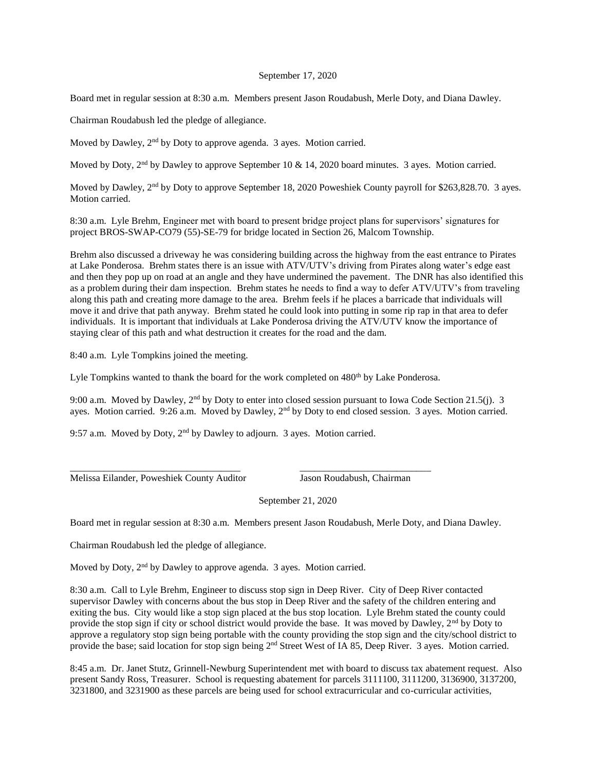## September 17, 2020

Board met in regular session at 8:30 a.m. Members present Jason Roudabush, Merle Doty, and Diana Dawley.

Chairman Roudabush led the pledge of allegiance.

Moved by Dawley, 2<sup>nd</sup> by Doty to approve agenda. 3 ayes. Motion carried.

Moved by Doty,  $2<sup>nd</sup>$  by Dawley to approve September 10 & 14, 2020 board minutes. 3 ayes. Motion carried.

Moved by Dawley, 2<sup>nd</sup> by Doty to approve September 18, 2020 Poweshiek County payroll for \$263,828.70. 3 ayes. Motion carried.

8:30 a.m. Lyle Brehm, Engineer met with board to present bridge project plans for supervisors' signatures for project BROS-SWAP-CO79 (55)-SE-79 for bridge located in Section 26, Malcom Township.

Brehm also discussed a driveway he was considering building across the highway from the east entrance to Pirates at Lake Ponderosa. Brehm states there is an issue with ATV/UTV's driving from Pirates along water's edge east and then they pop up on road at an angle and they have undermined the pavement. The DNR has also identified this as a problem during their dam inspection. Brehm states he needs to find a way to defer ATV/UTV's from traveling along this path and creating more damage to the area. Brehm feels if he places a barricade that individuals will move it and drive that path anyway. Brehm stated he could look into putting in some rip rap in that area to defer individuals. It is important that individuals at Lake Ponderosa driving the ATV/UTV know the importance of staying clear of this path and what destruction it creates for the road and the dam.

8:40 a.m. Lyle Tompkins joined the meeting.

Lyle Tompkins wanted to thank the board for the work completed on  $480<sup>th</sup>$  by Lake Ponderosa.

\_\_\_\_\_\_\_\_\_\_\_\_\_\_\_\_\_\_\_\_\_\_\_\_\_\_\_\_\_\_\_\_\_\_\_ \_\_\_\_\_\_\_\_\_\_\_\_\_\_\_\_\_\_\_\_\_\_\_\_\_\_\_

9:00 a.m. Moved by Dawley, 2<sup>nd</sup> by Doty to enter into closed session pursuant to Iowa Code Section 21.5(j). 3 ayes. Motion carried. 9:26 a.m. Moved by Dawley, 2<sup>nd</sup> by Doty to end closed session. 3 ayes. Motion carried.

9:57 a.m. Moved by Doty,  $2<sup>nd</sup>$  by Dawley to adjourn. 3 ayes. Motion carried.

Melissa Eilander, Poweshiek County Auditor Jason Roudabush, Chairman

September 21, 2020

Board met in regular session at 8:30 a.m. Members present Jason Roudabush, Merle Doty, and Diana Dawley.

Chairman Roudabush led the pledge of allegiance.

Moved by Doty, 2<sup>nd</sup> by Dawley to approve agenda. 3 ayes. Motion carried.

8:30 a.m. Call to Lyle Brehm, Engineer to discuss stop sign in Deep River. City of Deep River contacted supervisor Dawley with concerns about the bus stop in Deep River and the safety of the children entering and exiting the bus. City would like a stop sign placed at the bus stop location. Lyle Brehm stated the county could provide the stop sign if city or school district would provide the base. It was moved by Dawley, 2nd by Doty to approve a regulatory stop sign being portable with the county providing the stop sign and the city/school district to provide the base; said location for stop sign being 2<sup>nd</sup> Street West of IA 85, Deep River. 3 ayes. Motion carried.

8:45 a.m. Dr. Janet Stutz, Grinnell-Newburg Superintendent met with board to discuss tax abatement request. Also present Sandy Ross, Treasurer. School is requesting abatement for parcels 3111100, 3111200, 3136900, 3137200, 3231800, and 3231900 as these parcels are being used for school extracurricular and co-curricular activities,